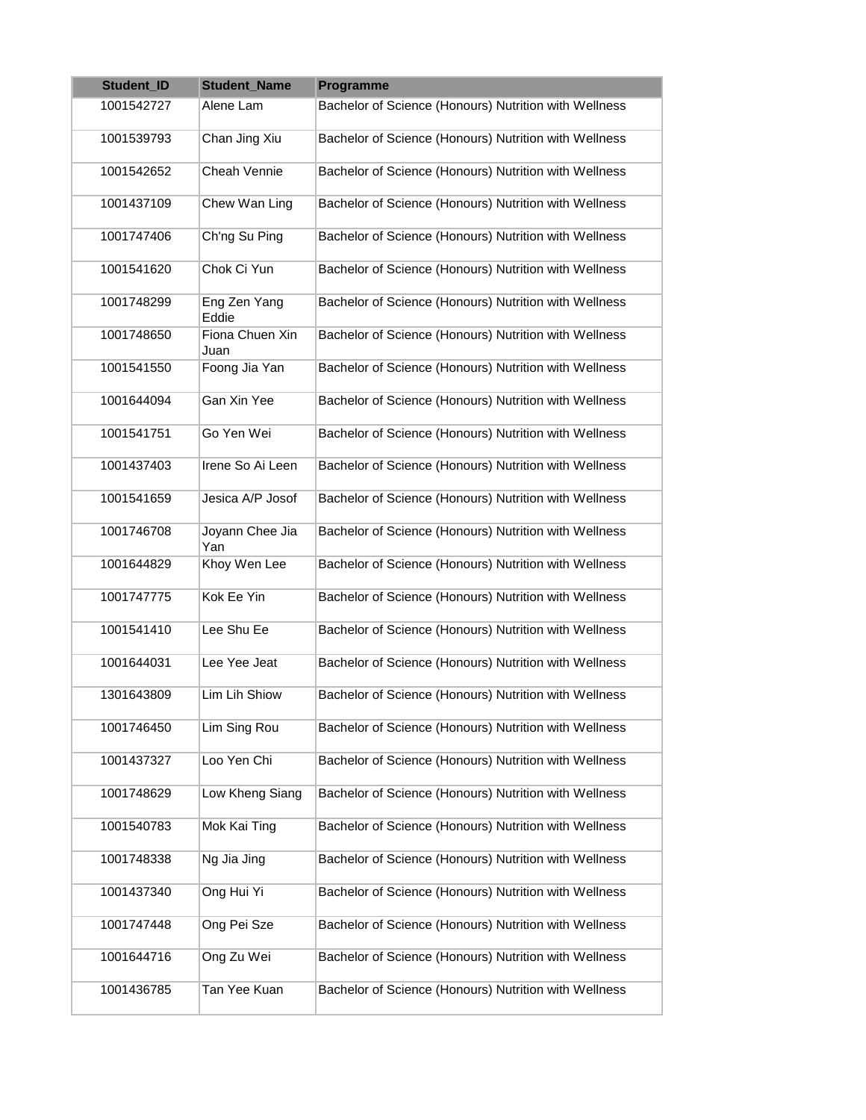| Student_ID | <b>Student Name</b>     | Programme                                             |
|------------|-------------------------|-------------------------------------------------------|
| 1001542727 | Alene Lam               | Bachelor of Science (Honours) Nutrition with Wellness |
| 1001539793 | Chan Jing Xiu           | Bachelor of Science (Honours) Nutrition with Wellness |
| 1001542652 | Cheah Vennie            | Bachelor of Science (Honours) Nutrition with Wellness |
| 1001437109 | Chew Wan Ling           | Bachelor of Science (Honours) Nutrition with Wellness |
| 1001747406 | Ch'ng Su Ping           | Bachelor of Science (Honours) Nutrition with Wellness |
| 1001541620 | Chok Ci Yun             | Bachelor of Science (Honours) Nutrition with Wellness |
| 1001748299 | Eng Zen Yang<br>Eddie   | Bachelor of Science (Honours) Nutrition with Wellness |
| 1001748650 | Fiona Chuen Xin<br>Juan | Bachelor of Science (Honours) Nutrition with Wellness |
| 1001541550 | Foong Jia Yan           | Bachelor of Science (Honours) Nutrition with Wellness |
| 1001644094 | Gan Xin Yee             | Bachelor of Science (Honours) Nutrition with Wellness |
| 1001541751 | Go Yen Wei              | Bachelor of Science (Honours) Nutrition with Wellness |
| 1001437403 | Irene So Ai Leen        | Bachelor of Science (Honours) Nutrition with Wellness |
| 1001541659 | Jesica A/P Josof        | Bachelor of Science (Honours) Nutrition with Wellness |
| 1001746708 | Joyann Chee Jia<br>Yan  | Bachelor of Science (Honours) Nutrition with Wellness |
| 1001644829 | Khoy Wen Lee            | Bachelor of Science (Honours) Nutrition with Wellness |
| 1001747775 | Kok Ee Yin              | Bachelor of Science (Honours) Nutrition with Wellness |
| 1001541410 | Lee Shu Ee              | Bachelor of Science (Honours) Nutrition with Wellness |
| 1001644031 | Lee Yee Jeat            | Bachelor of Science (Honours) Nutrition with Wellness |
| 1301643809 | Lim Lih Shiow           | Bachelor of Science (Honours) Nutrition with Wellness |
| 1001746450 | Lim Sing Rou            | Bachelor of Science (Honours) Nutrition with Wellness |
| 1001437327 | Loo Yen Chi             | Bachelor of Science (Honours) Nutrition with Wellness |
| 1001748629 | Low Kheng Siang         | Bachelor of Science (Honours) Nutrition with Wellness |
| 1001540783 | Mok Kai Ting            | Bachelor of Science (Honours) Nutrition with Wellness |
| 1001748338 | Ng Jia Jing             | Bachelor of Science (Honours) Nutrition with Wellness |
| 1001437340 | Ong Hui Yi              | Bachelor of Science (Honours) Nutrition with Wellness |
| 1001747448 | Ong Pei Sze             | Bachelor of Science (Honours) Nutrition with Wellness |
| 1001644716 | Ong Zu Wei              | Bachelor of Science (Honours) Nutrition with Wellness |
| 1001436785 | Tan Yee Kuan            | Bachelor of Science (Honours) Nutrition with Wellness |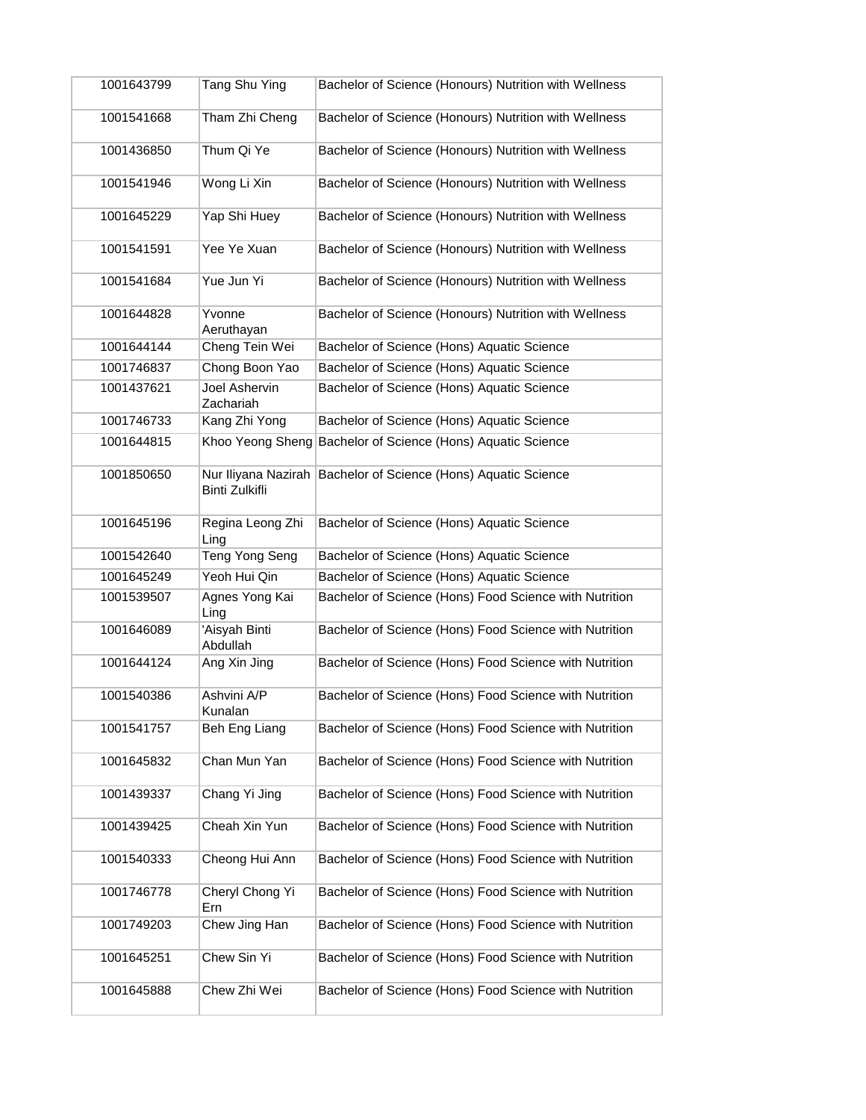| 1001643799 | Tang Shu Ying                         | Bachelor of Science (Honours) Nutrition with Wellness       |
|------------|---------------------------------------|-------------------------------------------------------------|
| 1001541668 | Tham Zhi Cheng                        | Bachelor of Science (Honours) Nutrition with Wellness       |
| 1001436850 | Thum Qi Ye                            | Bachelor of Science (Honours) Nutrition with Wellness       |
| 1001541946 | Wong Li Xin                           | Bachelor of Science (Honours) Nutrition with Wellness       |
| 1001645229 | Yap Shi Huey                          | Bachelor of Science (Honours) Nutrition with Wellness       |
| 1001541591 | Yee Ye Xuan                           | Bachelor of Science (Honours) Nutrition with Wellness       |
| 1001541684 | Yue Jun Yi                            | Bachelor of Science (Honours) Nutrition with Wellness       |
| 1001644828 | Yvonne<br>Aeruthayan                  | Bachelor of Science (Honours) Nutrition with Wellness       |
| 1001644144 | Cheng Tein Wei                        | Bachelor of Science (Hons) Aquatic Science                  |
| 1001746837 | Chong Boon Yao                        | Bachelor of Science (Hons) Aquatic Science                  |
| 1001437621 | Joel Ashervin<br>Zachariah            | Bachelor of Science (Hons) Aquatic Science                  |
| 1001746733 | Kang Zhi Yong                         | Bachelor of Science (Hons) Aquatic Science                  |
| 1001644815 |                                       | Khoo Yeong Sheng Bachelor of Science (Hons) Aquatic Science |
| 1001850650 | Nur Iliyana Nazirah<br>Binti Zulkifli | Bachelor of Science (Hons) Aquatic Science                  |
| 1001645196 | Regina Leong Zhi<br>Ling              | Bachelor of Science (Hons) Aquatic Science                  |
| 1001542640 | Teng Yong Seng                        | Bachelor of Science (Hons) Aquatic Science                  |
| 1001645249 | Yeoh Hui Qin                          | Bachelor of Science (Hons) Aquatic Science                  |
| 1001539507 | Agnes Yong Kai<br>Ling                | Bachelor of Science (Hons) Food Science with Nutrition      |
| 1001646089 | 'Aisyah Binti<br>Abdullah             | Bachelor of Science (Hons) Food Science with Nutrition      |
| 1001644124 | Ang Xin Jing                          | Bachelor of Science (Hons) Food Science with Nutrition      |
| 1001540386 | Ashvini A/P<br>Kunalan                | Bachelor of Science (Hons) Food Science with Nutrition      |
| 1001541757 | Beh Eng Liang                         | Bachelor of Science (Hons) Food Science with Nutrition      |
| 1001645832 | Chan Mun Yan                          | Bachelor of Science (Hons) Food Science with Nutrition      |
| 1001439337 | Chang Yi Jing                         | Bachelor of Science (Hons) Food Science with Nutrition      |
| 1001439425 | Cheah Xin Yun                         | Bachelor of Science (Hons) Food Science with Nutrition      |
| 1001540333 | Cheong Hui Ann                        | Bachelor of Science (Hons) Food Science with Nutrition      |
| 1001746778 | Cheryl Chong Yi<br>Ern                | Bachelor of Science (Hons) Food Science with Nutrition      |
| 1001749203 | Chew Jing Han                         | Bachelor of Science (Hons) Food Science with Nutrition      |
| 1001645251 | Chew Sin Yi                           | Bachelor of Science (Hons) Food Science with Nutrition      |
| 1001645888 | Chew Zhi Wei                          | Bachelor of Science (Hons) Food Science with Nutrition      |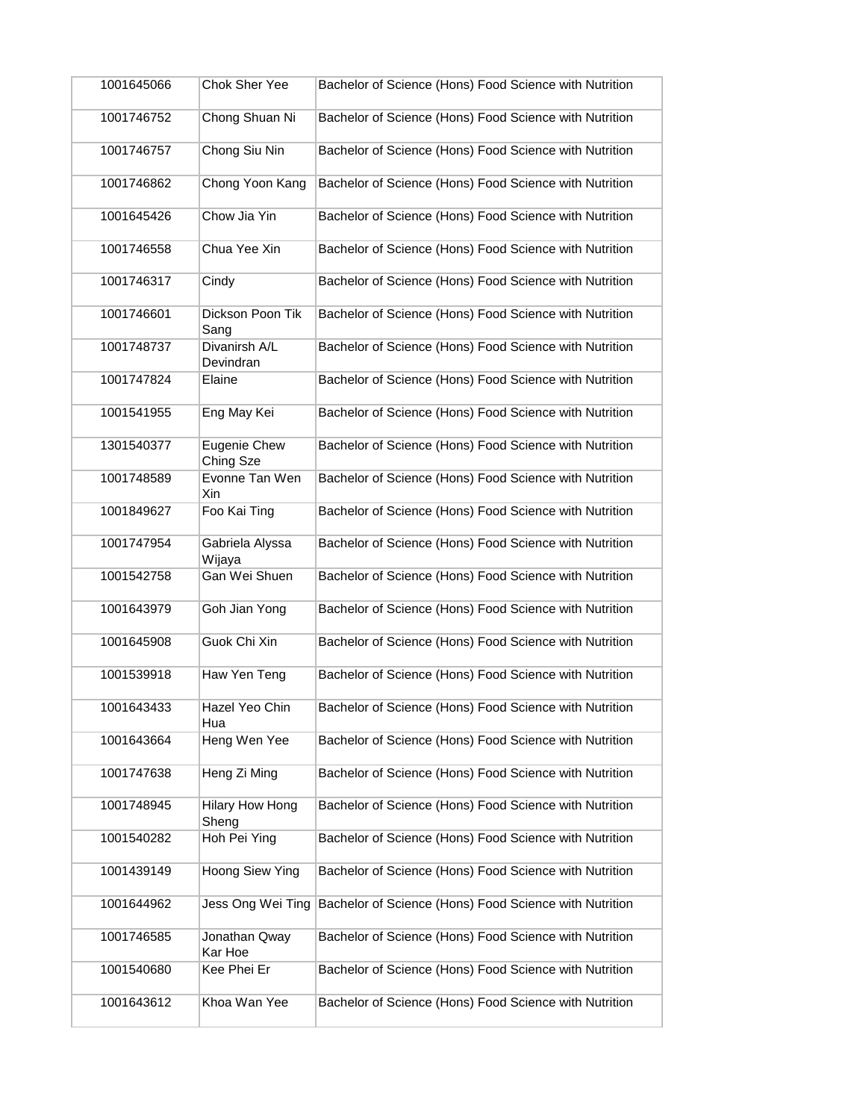| 1001645066 | Chok Sher Yee                   | Bachelor of Science (Hons) Food Science with Nutrition |
|------------|---------------------------------|--------------------------------------------------------|
| 1001746752 | Chong Shuan Ni                  | Bachelor of Science (Hons) Food Science with Nutrition |
| 1001746757 | Chong Siu Nin                   | Bachelor of Science (Hons) Food Science with Nutrition |
| 1001746862 | Chong Yoon Kang                 | Bachelor of Science (Hons) Food Science with Nutrition |
| 1001645426 | Chow Jia Yin                    | Bachelor of Science (Hons) Food Science with Nutrition |
| 1001746558 | Chua Yee Xin                    | Bachelor of Science (Hons) Food Science with Nutrition |
| 1001746317 | Cindy                           | Bachelor of Science (Hons) Food Science with Nutrition |
| 1001746601 | Dickson Poon Tik<br>Sang        | Bachelor of Science (Hons) Food Science with Nutrition |
| 1001748737 | Divanirsh A/L<br>Devindran      | Bachelor of Science (Hons) Food Science with Nutrition |
| 1001747824 | Elaine                          | Bachelor of Science (Hons) Food Science with Nutrition |
| 1001541955 | Eng May Kei                     | Bachelor of Science (Hons) Food Science with Nutrition |
| 1301540377 | Eugenie Chew<br>Ching Sze       | Bachelor of Science (Hons) Food Science with Nutrition |
| 1001748589 | Evonne Tan Wen<br>Xin           | Bachelor of Science (Hons) Food Science with Nutrition |
| 1001849627 | Foo Kai Ting                    | Bachelor of Science (Hons) Food Science with Nutrition |
| 1001747954 | Gabriela Alyssa<br>Wijaya       | Bachelor of Science (Hons) Food Science with Nutrition |
| 1001542758 | Gan Wei Shuen                   | Bachelor of Science (Hons) Food Science with Nutrition |
| 1001643979 | Goh Jian Yong                   | Bachelor of Science (Hons) Food Science with Nutrition |
| 1001645908 | Guok Chi Xin                    | Bachelor of Science (Hons) Food Science with Nutrition |
| 1001539918 | Haw Yen Teng                    | Bachelor of Science (Hons) Food Science with Nutrition |
| 1001643433 | Hazel Yeo Chin<br>Hua           | Bachelor of Science (Hons) Food Science with Nutrition |
| 1001643664 | Heng Wen Yee                    | Bachelor of Science (Hons) Food Science with Nutrition |
| 1001747638 | Heng Zi Ming                    | Bachelor of Science (Hons) Food Science with Nutrition |
| 1001748945 | <b>Hilary How Hong</b><br>Sheng | Bachelor of Science (Hons) Food Science with Nutrition |
| 1001540282 | Hoh Pei Ying                    | Bachelor of Science (Hons) Food Science with Nutrition |
| 1001439149 | Hoong Siew Ying                 | Bachelor of Science (Hons) Food Science with Nutrition |
| 1001644962 | Jess Ong Wei Ting               | Bachelor of Science (Hons) Food Science with Nutrition |
| 1001746585 | Jonathan Qway<br>Kar Hoe        | Bachelor of Science (Hons) Food Science with Nutrition |
| 1001540680 | Kee Phei Er                     | Bachelor of Science (Hons) Food Science with Nutrition |
| 1001643612 | Khoa Wan Yee                    | Bachelor of Science (Hons) Food Science with Nutrition |
|            |                                 |                                                        |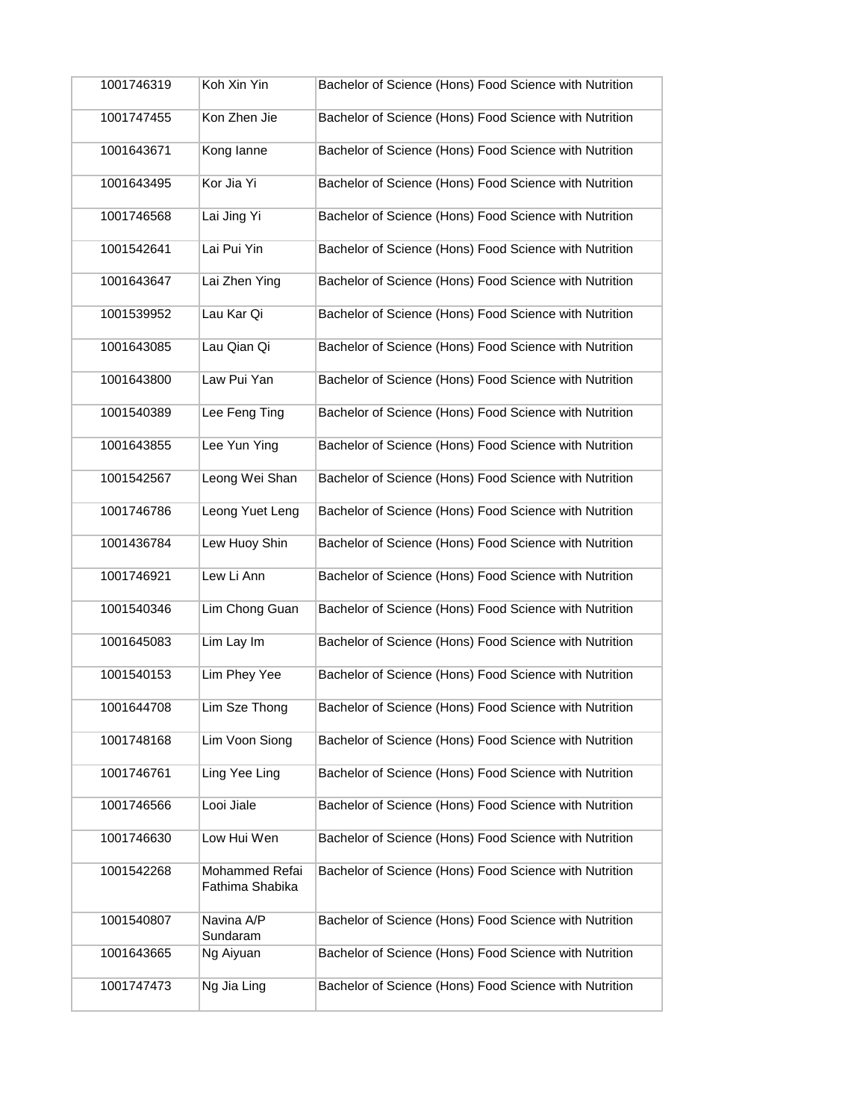| 1001746319 | Koh Xin Yin                       | Bachelor of Science (Hons) Food Science with Nutrition |
|------------|-----------------------------------|--------------------------------------------------------|
| 1001747455 | Kon Zhen Jie                      | Bachelor of Science (Hons) Food Science with Nutrition |
| 1001643671 | Kong lanne                        | Bachelor of Science (Hons) Food Science with Nutrition |
| 1001643495 | Kor Jia Yi                        | Bachelor of Science (Hons) Food Science with Nutrition |
| 1001746568 | Lai Jing Yi                       | Bachelor of Science (Hons) Food Science with Nutrition |
| 1001542641 | Lai Pui Yin                       | Bachelor of Science (Hons) Food Science with Nutrition |
| 1001643647 | Lai Zhen Ying                     | Bachelor of Science (Hons) Food Science with Nutrition |
| 1001539952 | Lau Kar Qi                        | Bachelor of Science (Hons) Food Science with Nutrition |
| 1001643085 | Lau Qian Qi                       | Bachelor of Science (Hons) Food Science with Nutrition |
| 1001643800 | Law Pui Yan                       | Bachelor of Science (Hons) Food Science with Nutrition |
| 1001540389 | Lee Feng Ting                     | Bachelor of Science (Hons) Food Science with Nutrition |
| 1001643855 | Lee Yun Ying                      | Bachelor of Science (Hons) Food Science with Nutrition |
| 1001542567 | Leong Wei Shan                    | Bachelor of Science (Hons) Food Science with Nutrition |
| 1001746786 | Leong Yuet Leng                   | Bachelor of Science (Hons) Food Science with Nutrition |
| 1001436784 | Lew Huoy Shin                     | Bachelor of Science (Hons) Food Science with Nutrition |
| 1001746921 | Lew Li Ann                        | Bachelor of Science (Hons) Food Science with Nutrition |
| 1001540346 | Lim Chong Guan                    | Bachelor of Science (Hons) Food Science with Nutrition |
| 1001645083 | Lim Lay Im                        | Bachelor of Science (Hons) Food Science with Nutrition |
| 1001540153 | Lim Phey Yee                      | Bachelor of Science (Hons) Food Science with Nutrition |
| 1001644708 | Lim Sze Thong                     | Bachelor of Science (Hons) Food Science with Nutrition |
| 1001748168 | Lim Voon Siong                    | Bachelor of Science (Hons) Food Science with Nutrition |
| 1001746761 | Ling Yee Ling                     | Bachelor of Science (Hons) Food Science with Nutrition |
| 1001746566 | Looi Jiale                        | Bachelor of Science (Hons) Food Science with Nutrition |
| 1001746630 | Low Hui Wen                       | Bachelor of Science (Hons) Food Science with Nutrition |
| 1001542268 | Mohammed Refai<br>Fathima Shabika | Bachelor of Science (Hons) Food Science with Nutrition |
| 1001540807 | Navina A/P<br>Sundaram            | Bachelor of Science (Hons) Food Science with Nutrition |
| 1001643665 | Ng Aiyuan                         | Bachelor of Science (Hons) Food Science with Nutrition |
| 1001747473 | Ng Jia Ling                       | Bachelor of Science (Hons) Food Science with Nutrition |
|            |                                   |                                                        |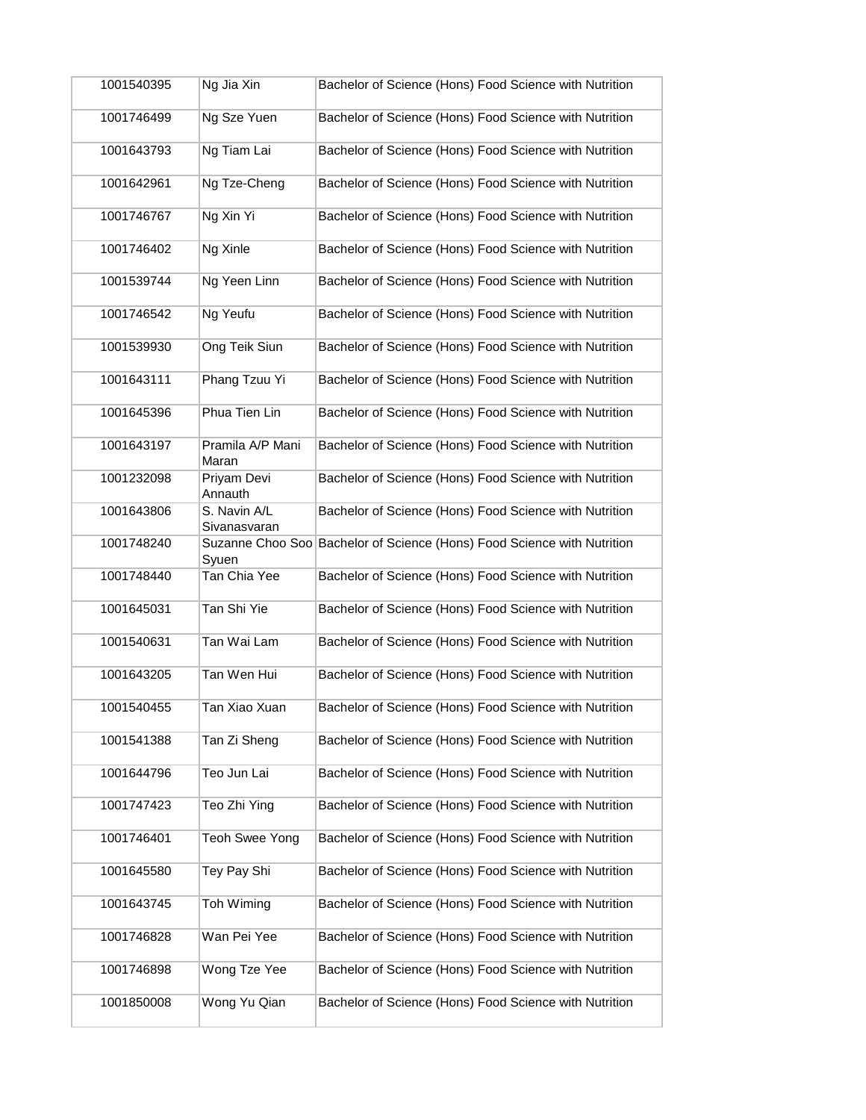| 1001540395 | Ng Jia Xin                   | Bachelor of Science (Hons) Food Science with Nutrition                  |
|------------|------------------------------|-------------------------------------------------------------------------|
| 1001746499 | Ng Sze Yuen                  | Bachelor of Science (Hons) Food Science with Nutrition                  |
|            |                              |                                                                         |
| 1001643793 | Ng Tiam Lai                  | Bachelor of Science (Hons) Food Science with Nutrition                  |
| 1001642961 | Ng Tze-Cheng                 | Bachelor of Science (Hons) Food Science with Nutrition                  |
| 1001746767 | Ng Xin Yi                    | Bachelor of Science (Hons) Food Science with Nutrition                  |
| 1001746402 | Ng Xinle                     | Bachelor of Science (Hons) Food Science with Nutrition                  |
| 1001539744 | Ng Yeen Linn                 | Bachelor of Science (Hons) Food Science with Nutrition                  |
| 1001746542 | Ng Yeufu                     | Bachelor of Science (Hons) Food Science with Nutrition                  |
| 1001539930 | Ong Teik Siun                | Bachelor of Science (Hons) Food Science with Nutrition                  |
| 1001643111 | Phang Tzuu Yi                | Bachelor of Science (Hons) Food Science with Nutrition                  |
| 1001645396 | Phua Tien Lin                | Bachelor of Science (Hons) Food Science with Nutrition                  |
| 1001643197 | Pramila A/P Mani<br>Maran    | Bachelor of Science (Hons) Food Science with Nutrition                  |
| 1001232098 | Priyam Devi<br>Annauth       | Bachelor of Science (Hons) Food Science with Nutrition                  |
| 1001643806 | S. Navin A/L<br>Sivanasvaran | Bachelor of Science (Hons) Food Science with Nutrition                  |
| 1001748240 | Syuen                        | Suzanne Choo Soo Bachelor of Science (Hons) Food Science with Nutrition |
| 1001748440 | Tan Chia Yee                 | Bachelor of Science (Hons) Food Science with Nutrition                  |
| 1001645031 | Tan Shi Yie                  | Bachelor of Science (Hons) Food Science with Nutrition                  |
| 1001540631 | Tan Wai Lam                  | Bachelor of Science (Hons) Food Science with Nutrition                  |
| 1001643205 | Tan Wen Hui                  | Bachelor of Science (Hons) Food Science with Nutrition                  |
| 1001540455 | Tan Xiao Xuan                | Bachelor of Science (Hons) Food Science with Nutrition                  |
| 1001541388 | Tan Zi Sheng                 | Bachelor of Science (Hons) Food Science with Nutrition                  |
| 1001644796 | Teo Jun Lai                  | Bachelor of Science (Hons) Food Science with Nutrition                  |
| 1001747423 | Teo Zhi Ying                 | Bachelor of Science (Hons) Food Science with Nutrition                  |
| 1001746401 | <b>Teoh Swee Yong</b>        | Bachelor of Science (Hons) Food Science with Nutrition                  |
| 1001645580 | Tey Pay Shi                  | Bachelor of Science (Hons) Food Science with Nutrition                  |
| 1001643745 | Toh Wiming                   | Bachelor of Science (Hons) Food Science with Nutrition                  |
| 1001746828 | Wan Pei Yee                  | Bachelor of Science (Hons) Food Science with Nutrition                  |
| 1001746898 | Wong Tze Yee                 | Bachelor of Science (Hons) Food Science with Nutrition                  |
| 1001850008 | Wong Yu Qian                 | Bachelor of Science (Hons) Food Science with Nutrition                  |
|            |                              |                                                                         |